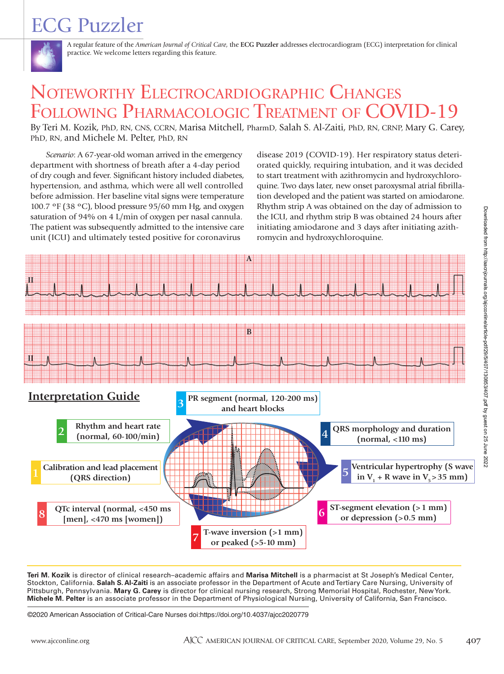# ECG Puzzler



A regular feature of the *American Journal of Critical Care*, the **ECG Puzzler** addresses electrocardiogram (ECG) interpretation for clinical practice. We welcome letters regarding this feature.

# NOTEWORTHY ELECTROCARDIOGRAPHIC CHANGES FOLLOWING PHARMACOLOGIC TREATMENT OF COVID-19

By Teri M. Kozik, PhD, RN, CNS, CCRN, Marisa Mitchell, PharmD, Salah S. Al-Zaiti, PhD, RN, CRNP, Mary G. Carey, PhD, RN, and Michele M. Pelter, PhD, RN

*Scenario*: A 67-year-old woman arrived in the emergency department with shortness of breath after a 4-day period of dry cough and fever. Significant history included diabetes, hypertension, and asthma, which were all well controlled before admission. Her baseline vital signs were temperature 100.7 ºF (38 ºC), blood pressure 95/60 mm Hg, and oxygen saturation of 94% on 4 L/min of oxygen per nasal cannula. The patient was subsequently admitted to the intensive care unit (ICU) and ultimately tested positive for coronavirus

disease 2019 (COVID-19). Her respiratory status deteriorated quickly, requiring intubation, and it was decided to start treatment with azithromycin and hydroxychloroquine. Two days later, new onset paroxysmal atrial fibrillation developed and the patient was started on amiodarone. Rhythm strip A was obtained on the day of admission to the ICU, and rhythm strip B was obtained 24 hours after initiating amiodarone and 3 days after initiating azithromycin and hydroxychloroquine.



**Teri M. Kozik** is director of clinical research–academic affairs and **Marisa Mitchell** is a pharmacist at St Joseph's Medical Center, Stockton, California. **Salah S. Al-Zaiti** is an associate professor in the Department of Acute and Tertiary Care Nursing, University of Pittsburgh, Pennsylvania. **Mary G. Carey** is director for clinical nursing research, Strong Memorial Hospital, Rochester, New York. **Michele M. Pelter** is an associate professor in the Department of Physiological Nursing, University of California, San Francisco.

©2020 American Association of Critical-Care Nurses doi:https://doi.org/10.4037/ajcc2020779

Downloaded from http://aacnjournals.org/ajcconline/article-pdf/29/5/407/130853/407.pdf by guest on 25 June 2022 Downloaded from http://aacnjournals.org/ajcconline/article-pdf/29/5/407/130853/407.pdf by guest on 25 June 2022